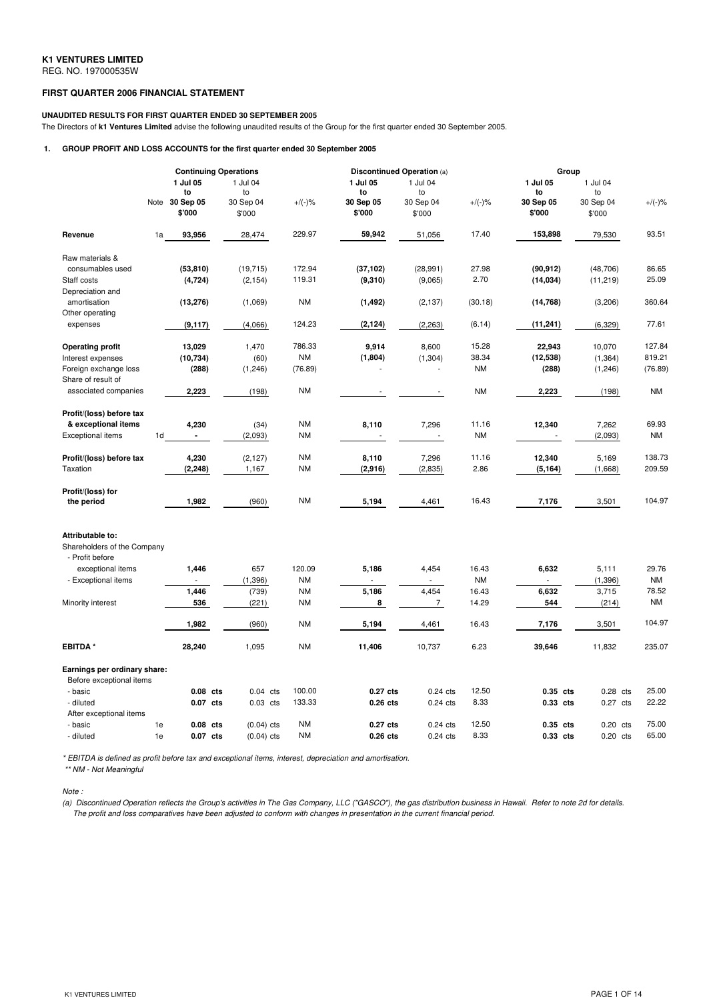# **FIRST QUARTER 2006 FINANCIAL STATEMENT**

### **UNAUDITED RESULTS FOR FIRST QUARTER ENDED 30 SEPTEMBER 2005**

The Directors of **k1 Ventures Limited** advise the following unaudited results of the Group for the first quarter ended 30 September 2005.

# **1. GROUP PROFIT AND LOSS ACCOUNTS for the first quarter ended 30 September 2005**

|                                                                    | <b>Continuing Operations</b> |                                       |                                       | <b>Discontinued Operation (a)</b> |                                       |                                       |                    | Group                                 |                                       |                    |
|--------------------------------------------------------------------|------------------------------|---------------------------------------|---------------------------------------|-----------------------------------|---------------------------------------|---------------------------------------|--------------------|---------------------------------------|---------------------------------------|--------------------|
|                                                                    | Note                         | 1 Jul 05<br>to<br>30 Sep 05<br>\$'000 | 1 Jul 04<br>to<br>30 Sep 04<br>\$'000 | $+/(-)$ %                         | 1 Jul 05<br>to<br>30 Sep 05<br>\$'000 | 1 Jul 04<br>to<br>30 Sep 04<br>\$'000 | $+/(-)$ %          | 1 Jul 05<br>to<br>30 Sep 05<br>\$'000 | 1 Jul 04<br>to<br>30 Sep 04<br>\$'000 | $+/(-)$ %          |
| Revenue                                                            | 1a                           | 93,956                                | 28,474                                | 229.97                            | 59,942                                | 51,056                                | 17.40              | 153,898                               | 79,530                                | 93.51              |
| Raw materials &                                                    |                              |                                       |                                       |                                   |                                       |                                       |                    |                                       |                                       |                    |
| consumables used                                                   |                              | (53, 810)                             | (19, 715)                             | 172.94                            | (37, 102)                             | (28, 991)                             | 27.98              | (90, 912)                             | (48, 706)                             | 86.65              |
| Staff costs                                                        |                              | (4, 724)                              | (2, 154)                              | 119.31                            | (9, 310)                              | (9,065)                               | 2.70               | (14, 034)                             | (11, 219)                             | 25.09              |
| Depreciation and                                                   |                              |                                       |                                       |                                   |                                       |                                       |                    |                                       |                                       |                    |
| amortisation                                                       |                              | (13, 276)                             | (1,069)                               | <b>NM</b>                         | (1, 492)                              | (2, 137)                              | (30.18)            | (14, 768)                             | (3,206)                               | 360.64             |
| Other operating                                                    |                              |                                       |                                       |                                   |                                       |                                       |                    |                                       |                                       |                    |
| expenses                                                           |                              | (9, 117)                              | (4,066)                               | 124.23                            | (2, 124)                              | (2, 263)                              | (6.14)             | (11, 241)                             | (6, 329)                              | 77.61              |
| <b>Operating profit</b>                                            |                              | 13,029                                | 1,470                                 | 786.33                            | 9,914                                 | 8,600                                 | 15.28              | 22,943                                | 10,070                                | 127.84             |
| Interest expenses                                                  |                              | (10, 734)                             | (60)                                  | <b>NM</b>                         | (1,804)                               | (1, 304)                              | 38.34              | (12, 538)                             | (1, 364)                              | 819.21             |
| Foreign exchange loss                                              |                              | (288)                                 | (1, 246)                              | (76.89)                           |                                       |                                       | <b>NM</b>          | (288)                                 | (1, 246)                              | (76.89)            |
| Share of result of                                                 |                              |                                       |                                       |                                   |                                       |                                       |                    |                                       |                                       |                    |
| associated companies                                               |                              | 2,223                                 | (198)                                 | <b>NM</b>                         | $\overline{\phantom{a}}$              |                                       | <b>NM</b>          | 2,223                                 | (198)                                 | <b>NM</b>          |
| Profit/(loss) before tax                                           |                              |                                       |                                       |                                   |                                       |                                       |                    |                                       |                                       |                    |
| & exceptional items                                                |                              | 4,230                                 | (34)                                  | <b>NM</b>                         | 8,110                                 | 7,296                                 | 11.16              | 12,340                                | 7,262                                 | 69.93              |
| Exceptional items                                                  | 1 <sub>d</sub>               | ä,                                    | (2,093)                               | <b>NM</b>                         |                                       | $\overline{\phantom{a}}$              | <b>NM</b>          |                                       | (2,093)                               | <b>NM</b>          |
|                                                                    |                              |                                       |                                       |                                   |                                       |                                       |                    |                                       |                                       |                    |
| Profit/(loss) before tax                                           |                              | 4,230                                 | (2, 127)                              | <b>NM</b>                         | 8,110                                 | 7,296                                 | 11.16              | 12,340                                | 5,169                                 | 138.73             |
| Taxation                                                           |                              | (2, 248)                              | 1,167                                 | <b>NM</b>                         | (2,916)                               | (2, 835)                              | 2.86               | (5, 164)                              | (1,668)                               | 209.59             |
|                                                                    |                              |                                       |                                       |                                   |                                       |                                       |                    |                                       |                                       |                    |
| Profit/(loss) for<br>the period                                    |                              | 1,982                                 | (960)                                 | NM                                | 5,194                                 | 4,461                                 | 16.43              | 7,176                                 | 3,501                                 | 104.97             |
|                                                                    |                              |                                       |                                       |                                   |                                       |                                       |                    |                                       |                                       |                    |
| Attributable to:<br>Shareholders of the Company<br>- Profit before |                              |                                       |                                       |                                   |                                       |                                       |                    |                                       |                                       |                    |
| exceptional items                                                  |                              | 1,446                                 | 657                                   | 120.09                            | 5,186                                 | 4,454                                 | 16.43              | 6,632                                 | 5,111                                 | 29.76              |
| - Exceptional items                                                |                              | 1,446                                 | (1, 396)<br>(739)                     | <b>NM</b><br><b>NM</b>            | 5,186                                 | 4,454                                 | <b>NM</b><br>16.43 | 6,632                                 | (1, 396)<br>3,715                     | <b>NM</b><br>78.52 |
| Minority interest                                                  |                              | 536                                   | (221)                                 | <b>NM</b>                         | 8                                     | $\overline{7}$                        | 14.29              | 544                                   | (214)                                 | <b>NM</b>          |
|                                                                    |                              |                                       |                                       |                                   |                                       |                                       |                    |                                       |                                       |                    |
|                                                                    |                              | 1,982                                 | (960)                                 | <b>NM</b>                         | 5,194                                 | 4,461                                 | 16.43              | 7,176                                 | 3,501                                 | 104.97             |
| EBITDA*                                                            |                              | 28,240                                | 1,095                                 | <b>NM</b>                         | 11,406                                | 10,737                                | 6.23               | 39,646                                | 11,832                                | 235.07             |
| Earnings per ordinary share:<br>Before exceptional items           |                              |                                       |                                       |                                   |                                       |                                       |                    |                                       |                                       |                    |
| - basic                                                            |                              | 0.08 cts                              | $0.04$ cts                            | 100.00                            | 0.27 cts                              | $0.24$ cts                            | 12.50              | 0.35 cts                              | $0.28$ cts                            | 25.00              |
| - diluted                                                          |                              | 0.07 cts                              | $0.03$ cts                            | 133.33                            | 0.26 cts                              | $0.24$ cts                            | 8.33               | 0.33 cts                              | 0.27 cts                              | 22.22              |
| After exceptional items                                            |                              |                                       |                                       |                                   |                                       |                                       |                    |                                       |                                       |                    |
| - basic                                                            | 1e                           | $0.08$ cts                            | $(0.04)$ cts                          | <b>NM</b>                         | 0.27 cts                              | $0.24$ cts                            | 12.50              | 0.35 cts                              | $0.20$ cts                            | 75.00<br>65.00     |
| - diluted                                                          | 1e                           | 0.07 cts                              | $(0.04)$ cts                          | <b>NM</b>                         | $0.26$ cts                            | $0.24$ cts                            | 8.33               | 0.33 cts                              | $0.20$ cts                            |                    |

*\* EBITDA is defined as profit before tax and exceptional items, interest, depreciation and amortisation.*

*\*\* NM - Not Meaningful*

*Note :*

(a) Discontinued Operation reflects the Group's activities in The Gas Company, LLC ("GASCO"), the gas distribution business in Hawaii. Refer to note 2d for details. The profit and loss comparatives have been adjusted to conform with changes in presentation in the current financial period.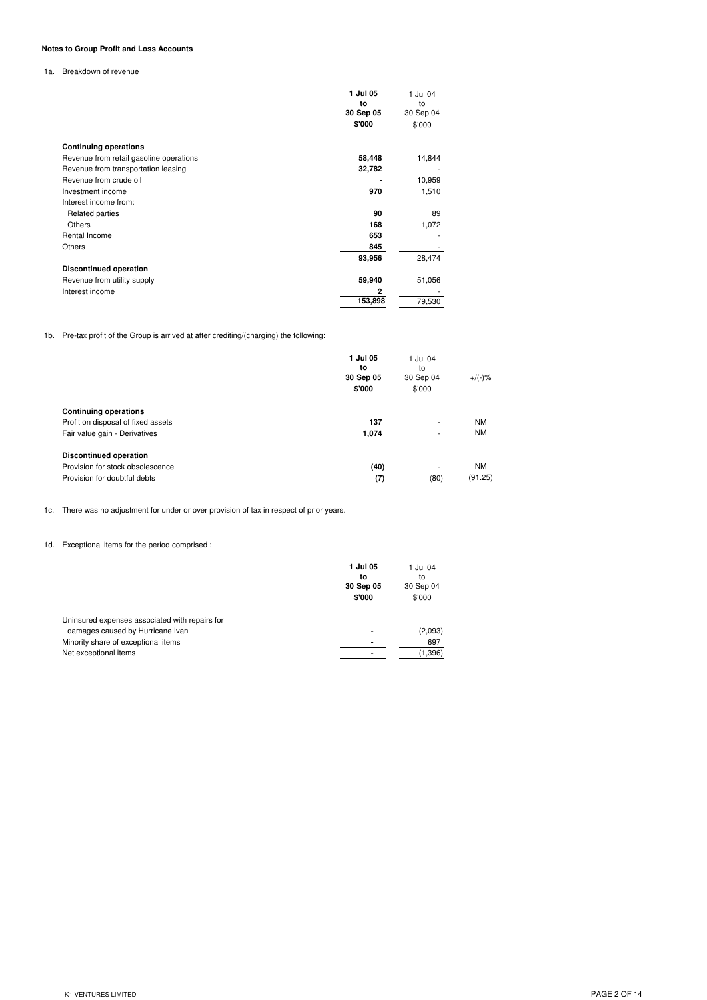# **Notes to Group Profit and Loss Accounts**

1a. Breakdown of revenue

|                                         | 1 Jul 05        | 1 Jul 04        |
|-----------------------------------------|-----------------|-----------------|
|                                         | to<br>30 Sep 05 | to<br>30 Sep 04 |
|                                         | \$'000          | \$'000          |
| <b>Continuing operations</b>            |                 |                 |
| Revenue from retail gasoline operations | 58,448          | 14,844          |
| Revenue from transportation leasing     | 32,782          |                 |
| Revenue from crude oil                  |                 | 10,959          |
| Investment income                       | 970             | 1,510           |
| Interest income from:                   |                 |                 |
| Related parties                         | 90              | 89              |
| <b>Others</b>                           | 168             | 1,072           |
| Rental Income                           | 653             |                 |
| <b>Others</b>                           | 845             |                 |
|                                         | 93,956          | 28,474          |
| <b>Discontinued operation</b>           |                 |                 |
| Revenue from utility supply             | 59,940          | 51,056          |
| Interest income                         | 2               |                 |
|                                         | 153,898         | 79,530          |

1b. Pre-tax profit of the Group is arrived at after crediting/(charging) the following:

|                                                                    | 1 Jul 05<br>to<br>30 Sep 05<br>\$'000 | 1 Jul 04<br>to<br>30 Sep 04<br>\$'000 | $+/(-)$ % |
|--------------------------------------------------------------------|---------------------------------------|---------------------------------------|-----------|
| <b>Continuing operations</b><br>Profit on disposal of fixed assets | 137                                   | ۰                                     | <b>NM</b> |
| Fair value gain - Derivatives                                      | 1,074                                 | ۰                                     | <b>NM</b> |
| <b>Discontinued operation</b>                                      |                                       |                                       |           |
| Provision for stock obsolescence                                   | (40)                                  | ۰                                     | <b>NM</b> |
| Provision for doubtful debts                                       | (7)                                   | (80)                                  | (91.25)   |

1c. There was no adjustment for under or over provision of tax in respect of prior years.

1d. Exceptional items for the period comprised :

|                                                | 1 Jul 05<br>to<br>30 Sep 05<br>\$'000 | 1 Jul 04<br>to<br>30 Sep 04<br>\$'000 |
|------------------------------------------------|---------------------------------------|---------------------------------------|
| Uninsured expenses associated with repairs for |                                       |                                       |
| damages caused by Hurricane Ivan               | $\blacksquare$                        | (2,093)                               |
| Minority share of exceptional items            | $\blacksquare$                        | 697                                   |
| Net exceptional items                          | $\blacksquare$                        | (1,396)                               |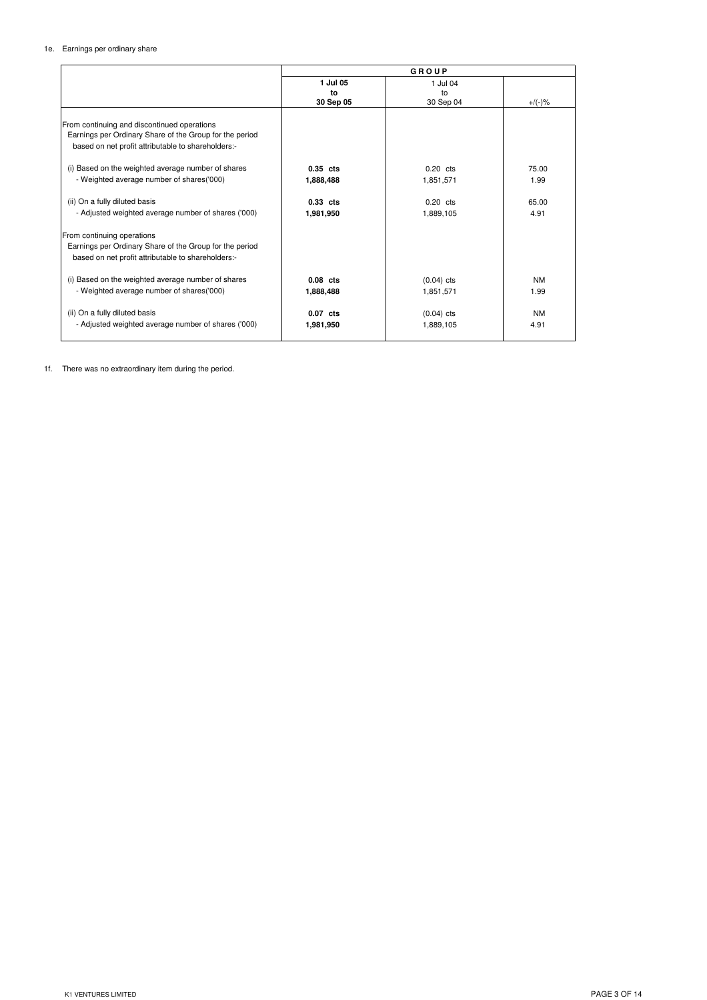## 1e. Earnings per ordinary share

|                                                         |            | GROUP        |           |
|---------------------------------------------------------|------------|--------------|-----------|
|                                                         | 1 Jul 05   | 1 Jul 04     |           |
|                                                         | to         | to           |           |
|                                                         | 30 Sep 05  | 30 Sep 04    | $+/(-)$ % |
|                                                         |            |              |           |
| From continuing and discontinued operations             |            |              |           |
| Earnings per Ordinary Share of the Group for the period |            |              |           |
| based on net profit attributable to shareholders:-      |            |              |           |
| (i) Based on the weighted average number of shares      | $0.35$ cts | $0.20$ cts   | 75.00     |
| - Weighted average number of shares('000)               | 1,888,488  | 1,851,571    | 1.99      |
| (ii) On a fully diluted basis                           | 0.33 cts   | $0.20$ cts   | 65.00     |
| - Adjusted weighted average number of shares ('000)     | 1,981,950  | 1,889,105    | 4.91      |
| From continuing operations                              |            |              |           |
| Earnings per Ordinary Share of the Group for the period |            |              |           |
| based on net profit attributable to shareholders:-      |            |              |           |
| (i) Based on the weighted average number of shares      | $0.08$ cts | $(0.04)$ cts | <b>NM</b> |
| - Weighted average number of shares('000)               |            |              | 1.99      |
|                                                         | 1,888,488  | 1,851,571    |           |
| (ii) On a fully diluted basis                           | 0.07 cts   | $(0.04)$ cts | <b>NM</b> |
| - Adjusted weighted average number of shares ('000)     | 1,981,950  | 1,889,105    | 4.91      |

1f. There was no extraordinary item during the period.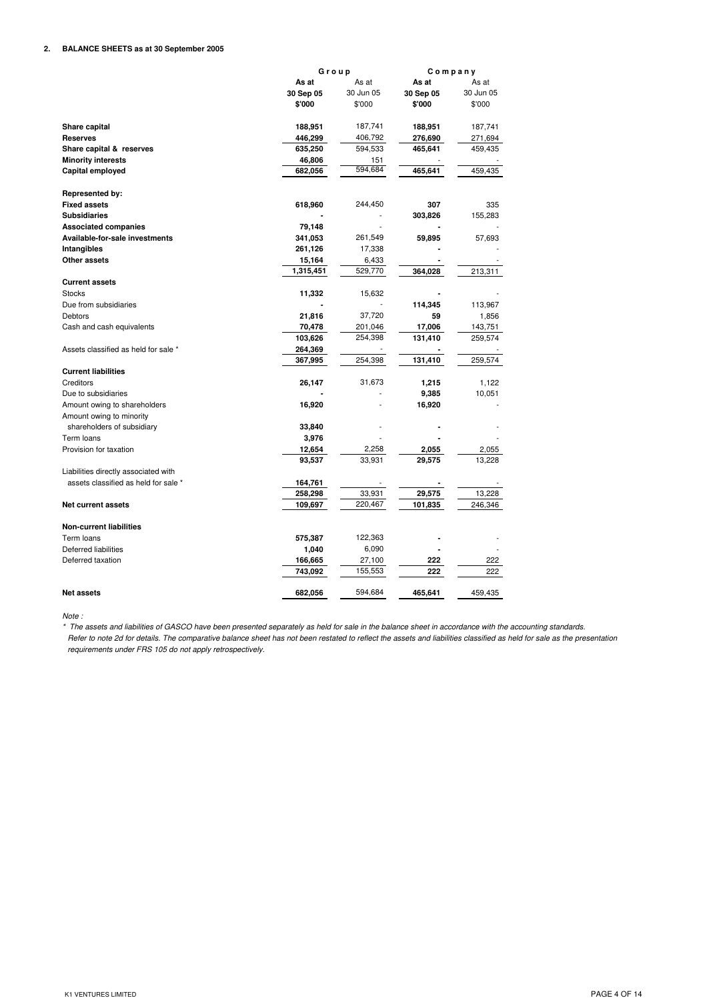# **2. BALANCE SHEETS as at 30 September 2005**

|                                      | Group<br>Company |           |           |           |
|--------------------------------------|------------------|-----------|-----------|-----------|
|                                      | As at            | As at     | As at     | As at     |
|                                      | 30 Sep 05        | 30 Jun 05 | 30 Sep 05 | 30 Jun 05 |
|                                      | \$'000           | \$'000    | \$'000    | \$'000    |
|                                      |                  |           |           |           |
| Share capital                        | 188,951          | 187,741   | 188,951   | 187,741   |
| <b>Reserves</b>                      | 446,299          | 406,792   | 276,690   | 271,694   |
| Share capital & reserves             | 635,250          | 594,533   | 465,641   | 459,435   |
| <b>Minority interests</b>            | 46,806           | 151       |           |           |
| Capital employed                     | 682,056          | 594,684   | 465,641   | 459,435   |
|                                      |                  |           |           |           |
| Represented by:                      |                  |           |           |           |
| <b>Fixed assets</b>                  | 618,960          | 244,450   | 307       | 335       |
| <b>Subsidiaries</b>                  |                  |           | 303,826   | 155,283   |
| <b>Associated companies</b>          | 79,148           |           |           |           |
| Available-for-sale investments       | 341,053          | 261,549   | 59,895    | 57,693    |
| Intangibles                          | 261,126          | 17,338    |           |           |
| Other assets                         | 15,164           | 6,433     |           |           |
|                                      | 1,315,451        | 529,770   | 364,028   | 213,311   |
| <b>Current assets</b>                |                  |           |           |           |
| <b>Stocks</b>                        | 11,332           | 15,632    |           |           |
| Due from subsidiaries                |                  |           | 114,345   | 113,967   |
| Debtors                              | 21,816           | 37,720    | 59        | 1,856     |
| Cash and cash equivalents            | 70,478           | 201,046   | 17,006    | 143,751   |
|                                      | 103,626          | 254,398   | 131,410   | 259,574   |
| Assets classified as held for sale * | 264,369          |           |           |           |
|                                      | 367,995          | 254,398   | 131,410   | 259,574   |
| <b>Current liabilities</b>           |                  |           |           |           |
| Creditors                            | 26,147           | 31,673    | 1,215     | 1,122     |
| Due to subsidiaries                  |                  |           | 9,385     | 10,051    |
| Amount owing to shareholders         | 16,920           |           | 16,920    |           |
| Amount owing to minority             |                  |           |           |           |
| shareholders of subsidiary           | 33,840           |           |           |           |
| Term loans                           | 3,976            |           |           |           |
| Provision for taxation               | 12,654           | 2,258     | 2,055     | 2,055     |
|                                      | 93,537           | 33,931    | 29,575    | 13,228    |
| Liabilities directly associated with |                  |           |           |           |
| assets classified as held for sale * | 164,761          |           |           |           |
|                                      | 258,298          | 33,931    | 29,575    | 13,228    |
| <b>Net current assets</b>            | 109,697          | 220,467   | 101,835   | 246,346   |
|                                      |                  |           |           |           |
| <b>Non-current liabilities</b>       |                  |           |           |           |
| Term loans                           | 575,387          | 122,363   |           |           |
| Deferred liabilities                 | 1,040            | 6,090     |           |           |
| Deferred taxation                    | 166,665          | 27,100    | 222       | 222       |
|                                      | 743,092          | 155,553   | 222       | 222       |
| <b>Net assets</b>                    | 682,056          | 594,684   | 465,641   | 459,435   |

*Note :*

\* The assets and liabilities of GASCO have been presented separately as held for sale in the balance sheet in accordance with the accounting standards. Refer to note 2d for details. The comparative balance sheet has not been restated to reflect the assets and liabilities classified as held for sale as the presentation *requirements under FRS 105 do not apply retrospectively.*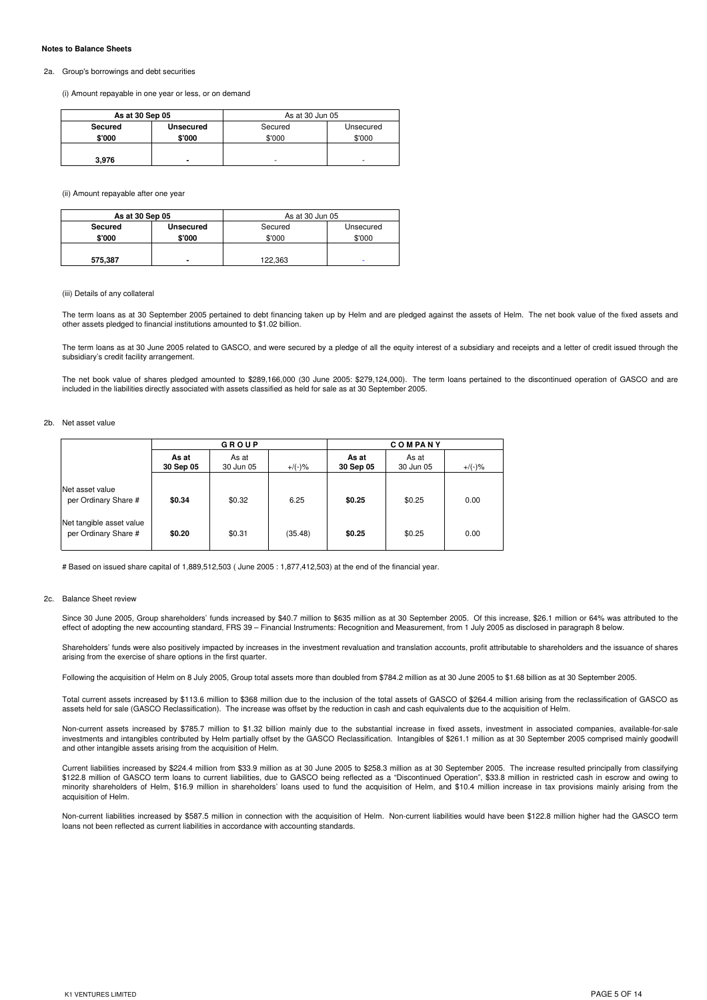#### **Notes to Balance Sheets**

#### 2a. Group's borrowings and debt securities

(i) Amount repayable in one year or less, or on demand

| As at 30 Sep 05 |                  | As at 30 Jun 05 |           |
|-----------------|------------------|-----------------|-----------|
| Secured         | <b>Unsecured</b> | Secured         | Unsecured |
| \$'000          | \$'000           | \$'000          | \$'000    |
|                 |                  |                 |           |
| 3.976           |                  | ۰               | ۰         |

(ii) Amount repayable after one year

| As at 30 Sep 05 |                  | As at 30 Jun 05 |           |  |
|-----------------|------------------|-----------------|-----------|--|
| Secured         | <b>Unsecured</b> | Secured         | Unsecured |  |
| \$'000          | \$'000           | \$'000          | \$'000    |  |
|                 |                  |                 |           |  |
| 575,387         | -                | 122.363         | ۰         |  |

### (iii) Details of any collateral

The term loans as at 30 September 2005 pertained to debt financing taken up by Helm and are pledged against the assets of Helm. The net book value of the fixed assets and other assets pledged to financial institutions amounted to \$1.02 billion.

The term loans as at 30 June 2005 related to GASCO, and were secured by a pledge of all the equity interest of a subsidiary and receipts and a letter of credit issued through the subsidiary's credit facility arrangement.

The net book value of shares pledged amounted to \$289,166,000 (30 June 2005: \$279,124,000). The term loans pertained to the discontinued operation of GASCO and are included in the liabilities directly associated with assets classified as held for sale as at 30 September 2005.

## 2b. Net asset value

|                                                  | GROUP              |                    |           | <b>COMPANY</b>     |                    |           |
|--------------------------------------------------|--------------------|--------------------|-----------|--------------------|--------------------|-----------|
|                                                  | As at<br>30 Sep 05 | As at<br>30 Jun 05 | $+/(-)$ % | As at<br>30 Sep 05 | As at<br>30 Jun 05 | $+/(-)$ % |
| Net asset value<br>per Ordinary Share #          | \$0.34             | \$0.32             | 6.25      | \$0.25             | \$0.25             | 0.00      |
| Net tangible asset value<br>per Ordinary Share # | \$0.20             | \$0.31             | (35.48)   | \$0.25             | \$0.25             | 0.00      |

# Based on issued share capital of 1,889,512,503 ( June 2005 : 1,877,412,503) at the end of the financial year.

#### 2c. Balance Sheet review

Since 30 June 2005, Group shareholders' funds increased by \$40.7 million to \$635 million as at 30 September 2005. Of this increase, \$26.1 million or 64% was attributed to the effect of adopting the new accounting standard, FRS 39 – Financial Instruments: Recognition and Measurement, from 1 July 2005 as disclosed in paragraph 8 below.

Shareholders' funds were also positively impacted by increases in the investment revaluation and translation accounts, profit attributable to shareholders and the issuance of shares arising from the exercise of share options in the first quarter.

Following the acquisition of Helm on 8 July 2005, Group total assets more than doubled from \$784.2 million as at 30 June 2005 to \$1.68 billion as at 30 September 2005.

Total current assets increased by \$113.6 million to \$368 million due to the inclusion of the total assets of GASCO of \$264.4 million arising from the reclassification of GASCO as assets held for sale (GASCO Reclassification). The increase was offset by the reduction in cash and cash equivalents due to the acquisition of Helm.

Non-current assets increased by \$785.7 million to \$1.32 billion mainly due to the substantial increase in fixed assets, investment in associated companies, available-for-sale investments and intangibles contributed by Helm partially offset by the GASCO Reclassification. Intangibles of \$261.1 million as at 30 September 2005 comprised mainly goodwill and other intangible assets arising from the acquisition of Helm.

Current liabilities increased by \$224.4 million from \$33.9 million as at 30 June 2005 to \$258.3 million as at 30 September 2005. The increase resulted principally from classifying<br>\$122.8 million of GASCO term loans to curr minority shareholders of Helm, \$16.9 million in shareholders' loans used to fund the acquisition of Helm, and \$10.4 million increase in tax provisions mainly arising from the acquisition of Helm.

Non-current liabilities increased by \$587.5 million in connection with the acquisition of Helm. Non-current liabilities would have been \$122.8 million higher had the GASCO term loans not been reflected as current liabilities in accordance with accounting standards.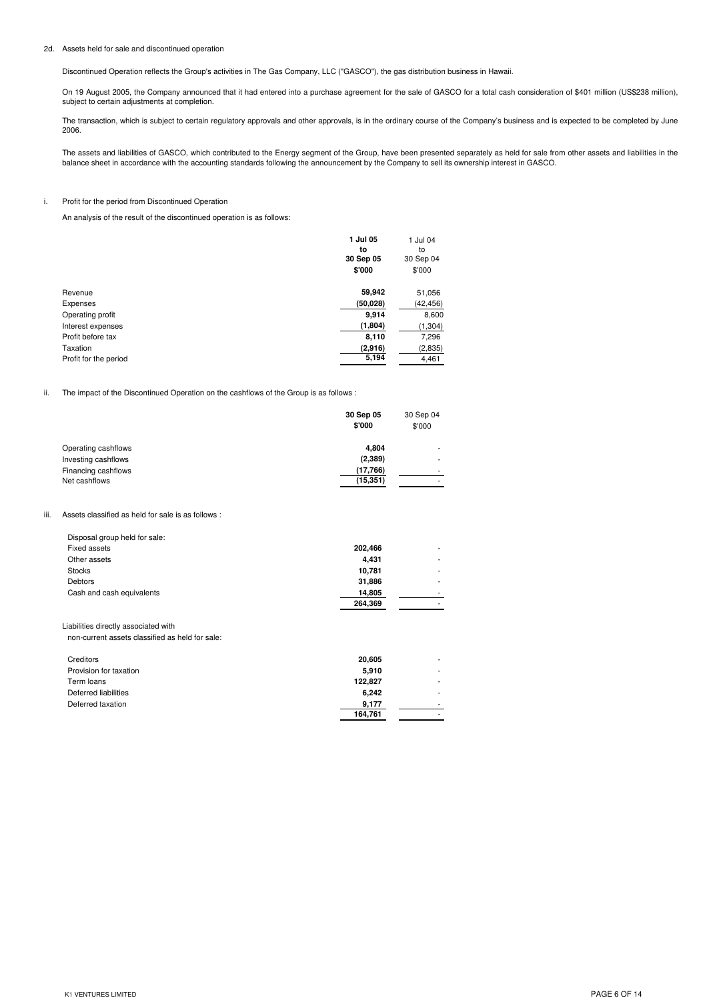## 2d. Assets held for sale and discontinued operation

Discontinued Operation reflects the Group's activities in The Gas Company, LLC ("GASCO"), the gas distribution business in Hawaii.

On 19 August 2005, the Company announced that it had entered into a purchase agreement for the sale of GASCO for a total cash consideration of \$401 million (US\$238 million), subject to certain adjustments at completion.

The transaction, which is subject to certain regulatory approvals and other approvals, is in the ordinary course of the Company's business and is expected to be completed by June 2006.

The assets and liabilities of GASCO, which contributed to the Energy segment of the Group, have been presented separately as held for sale from other assets and liabilities in the balance sheet in accordance with the accounting standards following the announcement by the Company to sell its ownership interest in GASCO.

# i. Profit for the period from Discontinued Operation

An analysis of the result of the discontinued operation is as follows:

|                       | 1 Jul 05<br>to | 1 Jul 04<br>to |
|-----------------------|----------------|----------------|
|                       | 30 Sep 05      | 30 Sep 04      |
|                       | \$'000         | \$'000         |
| Revenue               | 59,942         | 51,056         |
| Expenses              | (50, 028)      | (42,456)       |
| Operating profit      | 9,914          | 8,600          |
| Interest expenses     | (1,804)        | (1, 304)       |
| Profit before tax     | 8,110          | 7,296          |
| Taxation              | (2,916)        | (2,835)        |
| Profit for the period | 5,194          | 4,461          |

ii. The impact of the Discontinued Operation on the cashflows of the Group is as follows :

|                     | 30 Sep 05<br>\$'000 | 30 Sep 04<br>\$'000      |
|---------------------|---------------------|--------------------------|
| Operating cashflows | 4.804               | ۰                        |
| Investing cashflows | (2, 389)            | $\overline{\phantom{a}}$ |
| Financing cashflows | (17,766)            |                          |
| Net cashflows       | (15, 351)           |                          |
|                     |                     |                          |

#### iii. Assets classified as held for sale is as follows :

| Disposal group held for sale: |         |   |
|-------------------------------|---------|---|
| Fixed assets                  | 202,466 |   |
| Other assets                  | 4.431   |   |
| <b>Stocks</b>                 | 10,781  |   |
| <b>Debtors</b>                | 31,886  |   |
| Cash and cash equivalents     | 14,805  |   |
|                               | 264,369 | ۰ |

Liabilities directly associated with non-current assets classified as held for sale:

| 20,605  | ۰ |
|---------|---|
| 5,910   | - |
| 122,827 | ۰ |
| 6,242   |   |
| 9,177   | ۰ |
| 164,761 | - |
|         |   |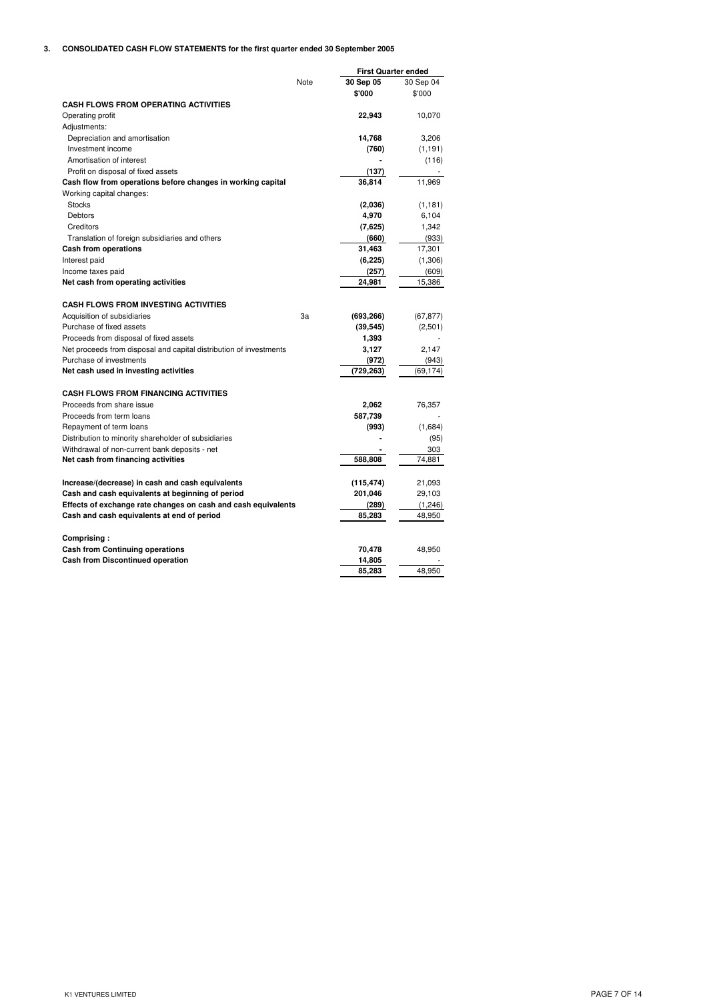# **3. CONSOLIDATED CASH FLOW STATEMENTS for the first quarter ended 30 September 2005**

|                                                                    |      | <b>First Quarter ended</b> |           |
|--------------------------------------------------------------------|------|----------------------------|-----------|
|                                                                    | Note | 30 Sep 05                  | 30 Sep 04 |
|                                                                    |      | \$'000                     | \$'000    |
| <b>CASH FLOWS FROM OPERATING ACTIVITIES</b>                        |      |                            |           |
| Operating profit                                                   |      | 22,943                     | 10,070    |
| Adjustments:                                                       |      |                            |           |
| Depreciation and amortisation                                      |      | 14,768                     | 3,206     |
| Investment income                                                  |      | (760)                      | (1, 191)  |
| Amortisation of interest                                           |      |                            | (116)     |
| Profit on disposal of fixed assets                                 |      | (137)                      |           |
| Cash flow from operations before changes in working capital        |      | 36,814                     | 11,969    |
| Working capital changes:                                           |      |                            |           |
| <b>Stocks</b>                                                      |      | (2,036)                    | (1, 181)  |
| Debtors                                                            |      | 4,970                      | 6.104     |
| Creditors                                                          |      | (7,625)                    | 1,342     |
| Translation of foreign subsidiaries and others                     |      | (660)                      | (933)     |
| <b>Cash from operations</b>                                        |      | 31,463                     | 17,301    |
| Interest paid                                                      |      | (6, 225)                   | (1,306)   |
| Income taxes paid                                                  |      | (257)                      | (609)     |
| Net cash from operating activities                                 |      | 24,981                     | 15,386    |
|                                                                    |      |                            |           |
| <b>CASH FLOWS FROM INVESTING ACTIVITIES</b>                        |      |                            |           |
| Acquisition of subsidiaries                                        | 3a   | (693, 266)                 | (67, 877) |
| Purchase of fixed assets                                           |      | (39, 545)                  | (2,501)   |
| Proceeds from disposal of fixed assets                             |      | 1,393                      |           |
| Net proceeds from disposal and capital distribution of investments |      | 3,127                      | 2,147     |
| Purchase of investments                                            |      | (972)                      | (943)     |
| Net cash used in investing activities                              |      | (729, 263)                 | (69, 174) |
| <b>CASH FLOWS FROM FINANCING ACTIVITIES</b>                        |      |                            |           |
| Proceeds from share issue                                          |      | 2,062                      | 76,357    |
| Proceeds from term loans                                           |      | 587,739                    |           |
| Repayment of term loans                                            |      | (993)                      | (1,684)   |
| Distribution to minority shareholder of subsidiaries               |      |                            | (95)      |
| Withdrawal of non-current bank deposits - net                      |      |                            | 303       |
| Net cash from financing activities                                 |      | 588,808                    | 74,881    |
|                                                                    |      |                            |           |
| Increase/(decrease) in cash and cash equivalents                   |      | (115, 474)                 | 21,093    |
| Cash and cash equivalents at beginning of period                   |      | 201,046                    | 29,103    |
| Effects of exchange rate changes on cash and cash equivalents      |      | (289)                      | (1, 246)  |
| Cash and cash equivalents at end of period                         |      | 85,283                     | 48,950    |
|                                                                    |      |                            |           |
| Comprising:                                                        |      |                            |           |
| <b>Cash from Continuing operations</b>                             |      | 70,478                     | 48,950    |
| <b>Cash from Discontinued operation</b>                            |      | 14,805                     |           |
|                                                                    |      | 85,283                     | 48,950    |
|                                                                    |      |                            |           |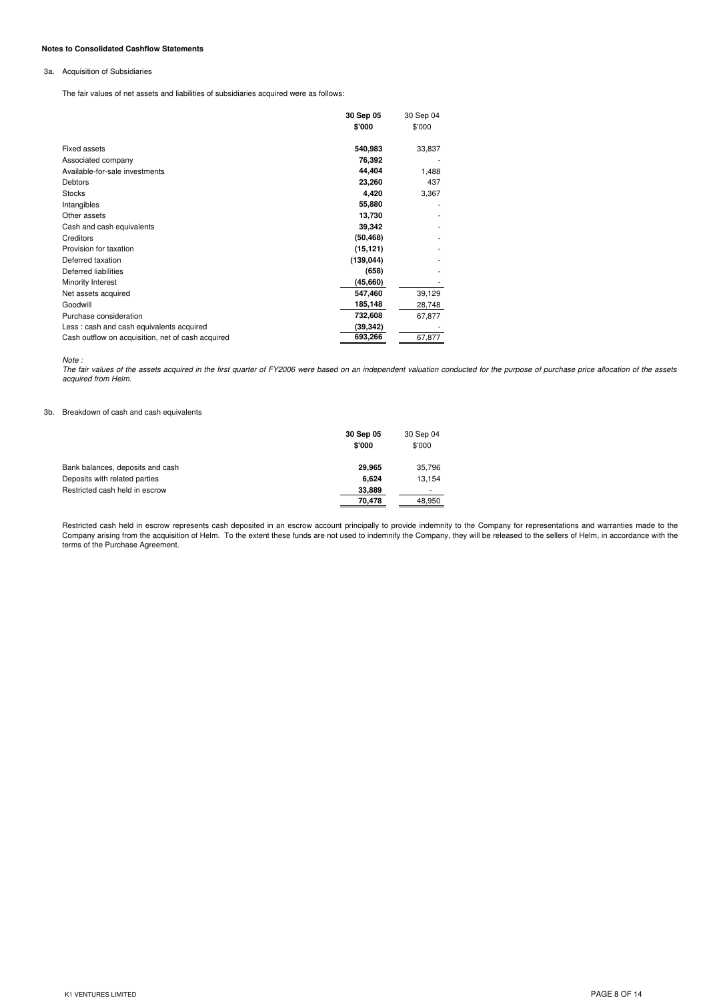### **Notes to Consolidated Cashflow Statements**

## 3a. Acquisition of Subsidiaries

The fair values of net assets and liabilities of subsidiaries acquired were as follows:

|                                                   | 30 Sep 05  | 30 Sep 04 |
|---------------------------------------------------|------------|-----------|
|                                                   | \$'000     | \$'000    |
| <b>Fixed assets</b>                               | 540,983    | 33,837    |
| Associated company                                | 76,392     |           |
| Available-for-sale investments                    | 44,404     | 1,488     |
| Debtors                                           | 23,260     | 437       |
| <b>Stocks</b>                                     | 4,420      | 3,367     |
| Intangibles                                       | 55,880     |           |
| Other assets                                      | 13,730     |           |
| Cash and cash equivalents                         | 39,342     |           |
| Creditors                                         | (50, 468)  |           |
| Provision for taxation                            | (15, 121)  |           |
| Deferred taxation                                 | (139, 044) |           |
| Deferred liabilities                              | (658)      |           |
| Minority Interest                                 | (45,660)   |           |
| Net assets acquired                               | 547,460    | 39,129    |
| Goodwill                                          | 185,148    | 28,748    |
| Purchase consideration                            | 732,608    | 67,877    |
| Less: cash and cash equivalents acquired          | (39, 342)  |           |
| Cash outflow on acquisition, net of cash acquired | 693,266    | 67,877    |
|                                                   |            |           |

*Note :*

ruco .<br>The fair values of the assets acquired in the first quarter of FY2006 were based on an independent valuation conducted for the purpose of purchase price allocation of the assets *acquired from Helm.*

## 3b. Breakdown of cash and cash equivalents

|                                  | 30 Sep 05<br>\$'000 | 30 Sep 04<br>\$'000 |
|----------------------------------|---------------------|---------------------|
| Bank balances, deposits and cash | 29.965              | 35,796              |
| Deposits with related parties    | 6.624               | 13.154              |
| Restricted cash held in escrow   | 33,889              |                     |
|                                  | 70.478              | 48.950              |

Restricted cash held in escrow represents cash deposited in an escrow account principally to provide indemnity to the Company for representations and warranties made to the<br>Company arising from the acquisition of Helm. To terms of the Purchase Agreement.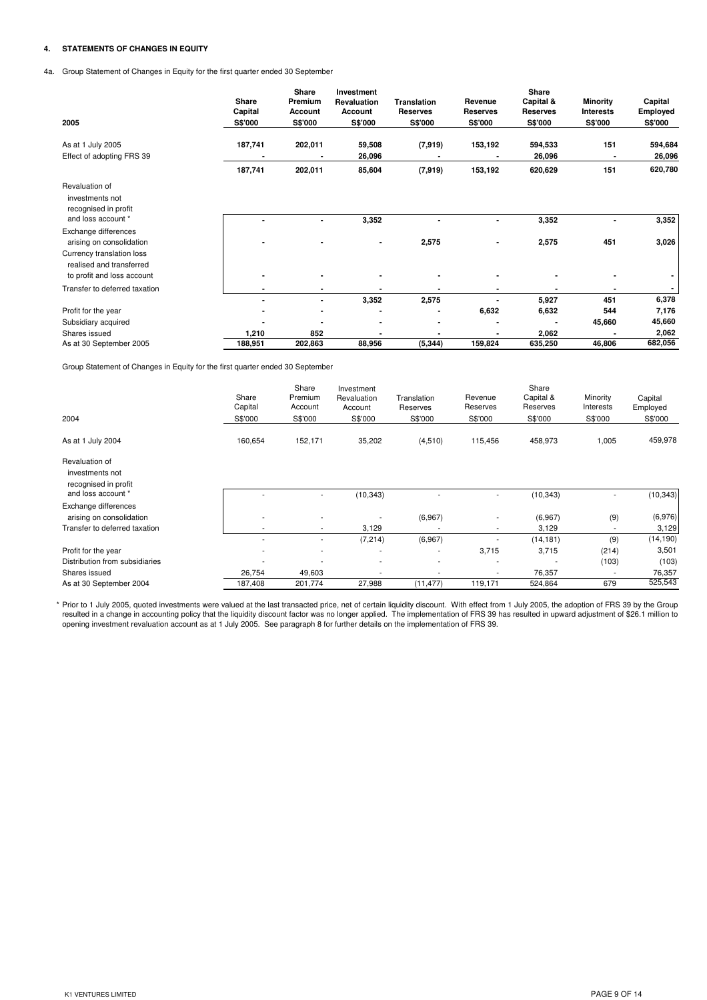# **4. STATEMENTS OF CHANGES IN EQUITY**

4a. Group Statement of Changes in Equity for the first quarter ended 30 September

| 2005                                                                            | Share<br>Capital<br>S\$'000 | Share<br>Premium<br>Account<br>S\$'000 | Investment<br><b>Revaluation</b><br>Account<br><b>S\$'000</b> | <b>Translation</b><br><b>Reserves</b><br><b>S\$'000</b> | Revenue<br><b>Reserves</b><br>S\$'000 | Share<br>Capital &<br><b>Reserves</b><br>S\$'000 | Minority<br><b>Interests</b><br>S\$'000 | Capital<br>Employed<br><b>S\$'000</b> |
|---------------------------------------------------------------------------------|-----------------------------|----------------------------------------|---------------------------------------------------------------|---------------------------------------------------------|---------------------------------------|--------------------------------------------------|-----------------------------------------|---------------------------------------|
| As at 1 July 2005                                                               | 187,741                     | 202,011                                | 59,508                                                        | (7, 919)                                                | 153,192                               | 594,533                                          | 151                                     | 594,684                               |
| Effect of adopting FRS 39                                                       | 187,741                     | 202,011                                | 26,096<br>85,604                                              | (7, 919)                                                | 153,192                               | 26,096<br>620,629                                | 151                                     | 26,096<br>620,780                     |
| Revaluation of<br>investments not<br>recognised in profit<br>and loss account * |                             |                                        |                                                               |                                                         |                                       |                                                  |                                         | 3,352                                 |
| Exchange differences<br>arising on consolidation                                |                             |                                        | 3,352<br>$\blacksquare$                                       | 2,575                                                   | ٠                                     | 3,352<br>2,575                                   | ۰<br>451                                | 3,026                                 |
| Currency translation loss<br>realised and transferred                           |                             |                                        |                                                               |                                                         |                                       |                                                  |                                         |                                       |
| to profit and loss account<br>Transfer to deferred taxation                     |                             |                                        |                                                               |                                                         |                                       |                                                  |                                         |                                       |
|                                                                                 | $\blacksquare$              | $\blacksquare$                         | 3,352                                                         | 2,575                                                   |                                       | 5,927                                            | 451                                     | 6,378                                 |
| Profit for the year                                                             |                             |                                        |                                                               |                                                         | 6,632                                 | 6,632                                            | 544                                     | 7,176                                 |
| Subsidiary acquired                                                             |                             |                                        |                                                               |                                                         |                                       |                                                  | 45,660                                  | 45,660                                |
| Shares issued                                                                   | 1,210                       | 852                                    |                                                               |                                                         |                                       | 2,062                                            |                                         | 2,062                                 |
| As at 30 September 2005                                                         | 188,951                     | 202,863                                | 88,956                                                        | (5, 344)                                                | 159,824                               | 635,250                                          | 46,806                                  | 682,056                               |

Group Statement of Changes in Equity for the first quarter ended 30 September

|                                                           | Share<br>Capital         | Share<br>Premium<br>Account | Investment<br>Revaluation<br>Account | Translation<br>Reserves | Revenue<br>Reserves      | Share<br>Capital &<br>Reserves | Minority<br>Interests | Capital<br>Employed |
|-----------------------------------------------------------|--------------------------|-----------------------------|--------------------------------------|-------------------------|--------------------------|--------------------------------|-----------------------|---------------------|
| 2004                                                      | S\$'000                  | S\$'000                     | S\$'000                              | S\$'000                 | S\$'000                  | S\$'000                        | S\$'000               | S\$'000             |
| As at 1 July 2004                                         | 160,654                  | 152,171                     | 35,202                               | (4,510)                 | 115,456                  | 458,973                        | 1,005                 | 459,978             |
| Revaluation of<br>investments not<br>recognised in profit |                          |                             |                                      |                         |                          |                                |                       |                     |
| and loss account *                                        | ۰                        | ۰                           | (10, 343)                            |                         | ٠                        | (10, 343)                      |                       | (10, 343)           |
| Exchange differences<br>arising on consolidation          | $\overline{\phantom{a}}$ | $\overline{\phantom{a}}$    | $\overline{\phantom{a}}$             | (6,967)                 | $\overline{\phantom{a}}$ | (6,967)                        | (9)                   | (6,976)             |
| Transfer to deferred taxation                             | ٠                        | ٠                           | 3,129                                |                         | $\overline{\phantom{a}}$ | 3,129                          |                       | 3,129               |
|                                                           | $\blacksquare$           | ٠                           | (7, 214)                             | (6,967)                 |                          | (14, 181)                      | (9)                   | (14, 190)           |
| Profit for the year                                       | $\overline{\phantom{a}}$ | ۰                           | ٠                                    |                         | 3,715                    | 3,715                          | (214)                 | 3,501               |
| Distribution from subsidiaries                            | ٠                        | ٠                           | $\overline{\phantom{a}}$             |                         | $\overline{\phantom{a}}$ |                                | (103)                 | (103)               |
| Shares issued                                             | 26,754                   | 49,603                      |                                      |                         |                          | 76,357                         |                       | 76,357              |
| As at 30 September 2004                                   | 187,408                  | 201,774                     | 27,988                               | (11, 477)               | 119,171                  | 524,864                        | 679                   | 525,543             |

\* Prior to 1 July 2005, quoted investments were valued at the last transacted price, net of certain liquidity discount. With effect from 1 July 2005, the adoption of FRS 39 by the Group<br>resulted in a change in accounting p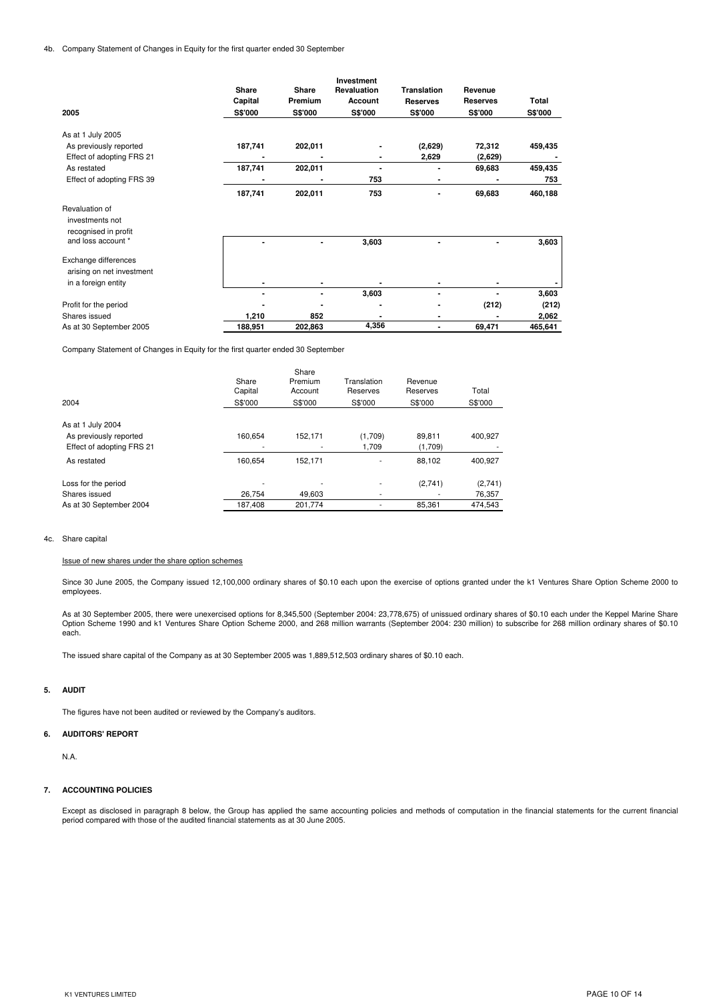|                                                           |              |         | Investment         |                    |                 |         |
|-----------------------------------------------------------|--------------|---------|--------------------|--------------------|-----------------|---------|
|                                                           | <b>Share</b> | Share   | <b>Revaluation</b> | <b>Translation</b> | Revenue         |         |
|                                                           | Capital      | Premium | Account            | <b>Reserves</b>    | <b>Reserves</b> | Total   |
| 2005                                                      | S\$'000      | S\$'000 | <b>S\$'000</b>     | S\$'000            | <b>S\$'000</b>  | S\$'000 |
| As at 1 July 2005                                         |              |         |                    |                    |                 |         |
| As previously reported                                    | 187,741      | 202,011 |                    | (2,629)            | 72,312          | 459,435 |
| Effect of adopting FRS 21                                 |              |         |                    | 2,629              | (2,629)         |         |
| As restated                                               | 187,741      | 202,011 | $\blacksquare$     | $\blacksquare$     | 69,683          | 459,435 |
| Effect of adopting FRS 39                                 |              |         | 753                |                    |                 | 753     |
|                                                           | 187,741      | 202,011 | 753                |                    | 69,683          | 460,188 |
| Revaluation of<br>investments not<br>recognised in profit |              |         |                    |                    |                 |         |
| and loss account *                                        |              |         | 3,603              |                    |                 | 3,603   |
| Exchange differences<br>arising on net investment         |              |         |                    |                    |                 |         |
| in a foreign entity                                       |              |         |                    |                    |                 |         |
|                                                           |              |         | 3,603              |                    |                 | 3,603   |
| Profit for the period                                     |              |         |                    |                    | (212)           | (212)   |
| Shares issued                                             | 1,210        | 852     |                    | $\blacksquare$     |                 | 2,062   |
| As at 30 September 2005                                   | 188,951      | 202,863 | 4,356              | $\blacksquare$     | 69,471          | 465,641 |
|                                                           |              |         |                    |                    |                 |         |

Company Statement of Changes in Equity for the first quarter ended 30 September

|                           |                  | Share              |                         |                     |         |
|---------------------------|------------------|--------------------|-------------------------|---------------------|---------|
|                           | Share<br>Capital | Premium<br>Account | Translation<br>Reserves | Revenue<br>Reserves | Total   |
|                           |                  |                    |                         |                     |         |
| 2004                      | S\$'000          | S\$'000            | S\$'000                 | S\$'000             | S\$'000 |
|                           |                  |                    |                         |                     |         |
| As at 1 July 2004         |                  |                    |                         |                     |         |
| As previously reported    | 160.654          | 152,171            | (1,709)                 | 89.811              | 400,927 |
| Effect of adopting FRS 21 | ٠                | ٠                  | 1.709                   | (1,709)             |         |
| As restated               | 160.654          | 152.171            | ۰                       | 88.102              | 400,927 |
| Loss for the period       |                  |                    | ۰.                      | (2,741)             | (2,741) |
| Shares issued             | 26.754           | 49.603             |                         |                     | 76,357  |
| As at 30 September 2004   | 187.408          | 201.774            |                         | 85.361              | 474.543 |

#### 4c. Share capital

#### Issue of new shares under the share option schemes

Since 30 June 2005, the Company issued 12,100,000 ordinary shares of \$0.10 each upon the exercise of options granted under the k1 Ventures Share Option Scheme 2000 to employees.

As at 30 September 2005, there were unexercised options for 8,345,500 (September 2004: 23,778,675) of unissued ordinary shares of \$0.10 each under the Keppel Marine Share Option Scheme 1990 and k1 Ventures Share Option Scheme 2000, and 268 million warrants (September 2004: 230 million) to subscribe for 268 million ordinary shares of \$0.10 each.

The issued share capital of the Company as at 30 September 2005 was 1,889,512,503 ordinary shares of \$0.10 each.

### **5. AUDIT**

The figures have not been audited or reviewed by the Company's auditors.

## **6. AUDITORS' REPORT**

N.A.

#### **7. ACCOUNTING POLICIES**

Except as disclosed in paragraph 8 below, the Group has applied the same accounting policies and methods of computation in the financial statements for the current financial period compared with those of the audited financial statements as at 30 June 2005.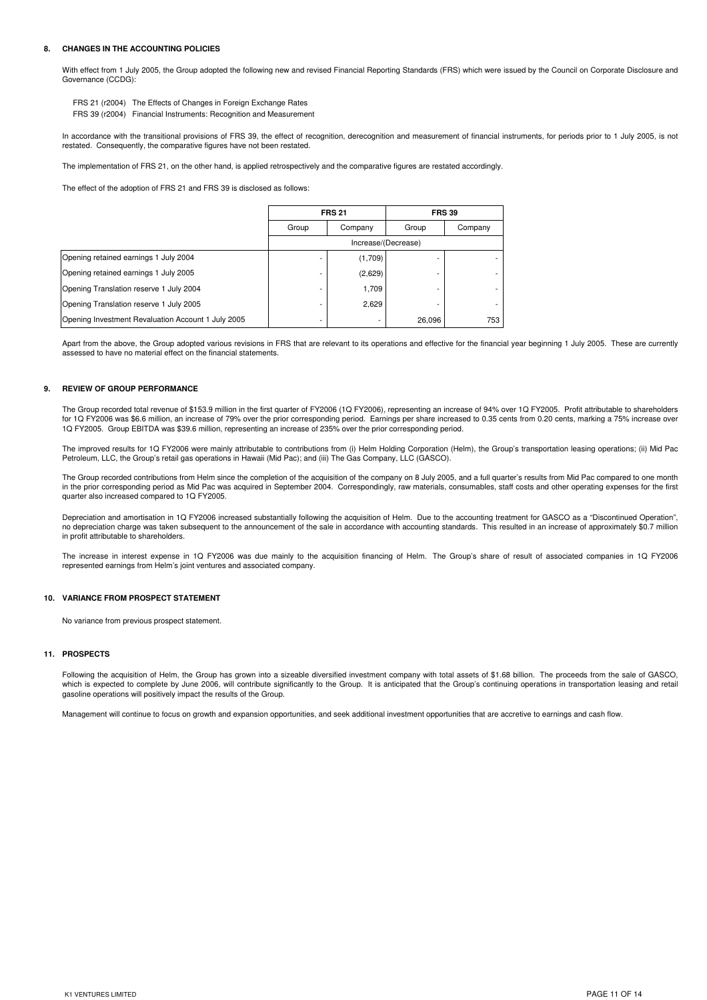#### **8. CHANGES IN THE ACCOUNTING POLICIES**

With effect from 1 July 2005, the Group adopted the following new and revised Financial Reporting Standards (FRS) which were issued by the Council on Corporate Disclosure and Governance (CCDG):

FRS 21 (r2004) The Effects of Changes in Foreign Exchange Rates

FRS 39 (r2004) Financial Instruments: Recognition and Measurement

In accordance with the transitional provisions of FRS 39, the effect of recognition, derecognition and measurement of financial instruments, for periods prior to 1 July 2005, is not restated. Consequently, the comparative figures have not been restated.

The implementation of FRS 21, on the other hand, is applied retrospectively and the comparative figures are restated accordingly.

The effect of the adoption of FRS 21 and FRS 39 is disclosed as follows:

|                                                    |                     | <b>FRS 21</b> | <b>FRS 39</b> |         |  |  |
|----------------------------------------------------|---------------------|---------------|---------------|---------|--|--|
|                                                    | Group               | Company       | Group         | Company |  |  |
|                                                    | Increase/(Decrease) |               |               |         |  |  |
| Opening retained earnings 1 July 2004              |                     | (1,709)       |               |         |  |  |
| Opening retained earnings 1 July 2005              |                     | (2,629)       |               |         |  |  |
| Opening Translation reserve 1 July 2004            |                     | 1,709         |               |         |  |  |
| Opening Translation reserve 1 July 2005            |                     | 2,629         |               |         |  |  |
| Opening Investment Revaluation Account 1 July 2005 |                     |               | 26,096        | 753     |  |  |

Apart from the above, the Group adopted various revisions in FRS that are relevant to its operations and effective for the financial year beginning 1 July 2005. These are currently assessed to have no material effect on the financial statements.

## **9. REVIEW OF GROUP PERFORMANCE**

The Group recorded total revenue of \$153.9 million in the first quarter of FY2006 (1Q FY2006), representing an increase of 94% over 1Q FY2005. Profit attributable to shareholders for 1Q FY2006 was \$6.6 million, an increase of 79% over the prior corresponding period. Earnings per share increased to 0.35 cents from 0.20 cents, marking a 75% increase over 1Q FY2005. Group EBITDA was \$39.6 million, representing an increase of 235% over the prior corresponding period.

The improved results for 1Q FY2006 were mainly attributable to contributions from (i) Helm Holding Corporation (Helm), the Group's transportation leasing operations; (ii) Mid Pac Petroleum, LLC, the Group's retail gas operations in Hawaii (Mid Pac); and (iii) The Gas Company, LLC (GASCO).

The Group recorded contributions from Helm since the completion of the acquisition of the company on 8 July 2005, and a full quarter's results from Mid Pac compared to one month in the prior corresponding period as Mid Pac was acquired in September 2004. Correspondingly, raw materials, consumables, staff costs and other operating expenses for the first quarter also increased compared to 1Q FY2005.

Depreciation and amortisation in 1Q FY2006 increased substantially following the acquisition of Helm. Due to the accounting treatment for GASCO as a "Discontinued Operation", no depreciation charge was taken subsequent to the announcement of the sale in accordance with accounting standards. This resulted in an increase of approximately \$0.7 million in profit attributable to shareholders.

The increase in interest expense in 1Q FY2006 was due mainly to the acquisition financing of Helm. The Group's share of result of associated companies in 1Q FY2006 represented earnings from Helm's joint ventures and associated company.

## **10. VARIANCE FROM PROSPECT STATEMENT**

No variance from previous prospect statement.

#### **11. PROSPECTS**

Following the acquisition of Helm, the Group has grown into a sizeable diversified investment company with total assets of \$1.68 billion. The proceeds from the sale of GASCO, which is expected to complete by June 2006, will contribute significantly to the Group. It is anticipated that the Group's continuing operations in transportation leasing and retail gasoline operations will positively impact the results of the Group.

Management will continue to focus on growth and expansion opportunities, and seek additional investment opportunities that are accretive to earnings and cash flow.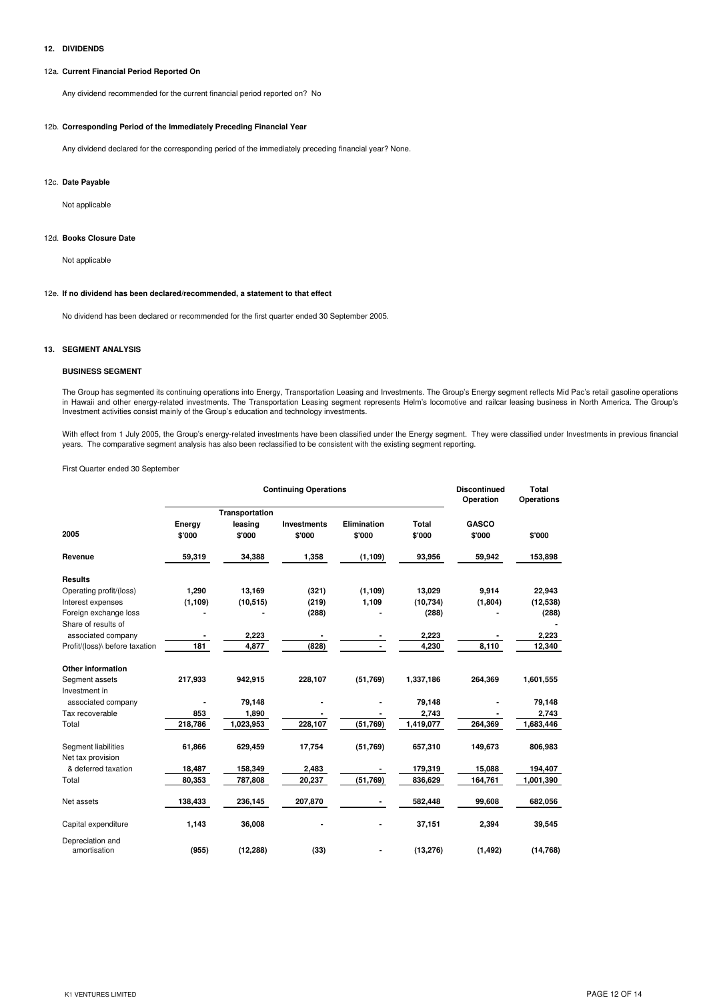## **12. DIVIDENDS**

## 12a. **Current Financial Period Reported On**

Any dividend recommended for the current financial period reported on? No

## 12b. **Corresponding Period of the Immediately Preceding Financial Year**

Any dividend declared for the corresponding period of the immediately preceding financial year? None.

#### 12c. **Date Payable**

Not applicable

#### 12d. **Books Closure Date**

Not applicable

## 12e. **If no dividend has been declared/recommended, a statement to that effect**

No dividend has been declared or recommended for the first quarter ended 30 September 2005.

#### **13. SEGMENT ANALYSIS**

## **BUSINESS SEGMENT**

The Group has segmented its continuing operations into Energy, Transportation Leasing and Investments. The Group's Energy segment reflects Mid Pac's retail gasoline operations in Hawaii and other energy-related investments. The Transportation Leasing segment represents Helm's locomotive and railcar leasing business in North America. The Group's Investment activities consist mainly of the Group's education and technology investments.

With effect from 1 July 2005, the Group's energy-related investments have been classified under the Energy segment. They were classified under Investments in previous financial<br>years. The comparative segment analysis has a

First Quarter ended 30 September

|                                 |                  | <b>Continuing Operations</b>        | <b>Discontinued</b><br>Operation | <b>Total</b><br><b>Operations</b> |                 |                        |           |
|---------------------------------|------------------|-------------------------------------|----------------------------------|-----------------------------------|-----------------|------------------------|-----------|
| 2005                            | Energy<br>\$'000 | Transportation<br>leasing<br>\$'000 | <b>Investments</b><br>\$'000     | Elimination<br>\$'000             | Total<br>\$'000 | <b>GASCO</b><br>\$'000 | \$'000    |
| Revenue                         | 59,319           | 34,388                              | 1,358                            | (1, 109)                          | 93,956          | 59,942                 | 153,898   |
| <b>Results</b>                  |                  |                                     |                                  |                                   |                 |                        |           |
| Operating profit/(loss)         | 1,290            | 13,169                              | (321)                            | (1, 109)                          | 13,029          | 9,914                  | 22,943    |
| Interest expenses               | (1, 109)         | (10, 515)                           | (219)                            | 1,109                             | (10, 734)       | (1,804)                | (12, 538) |
| Foreign exchange loss           |                  |                                     | (288)                            |                                   | (288)           |                        | (288)     |
| Share of results of             |                  |                                     |                                  |                                   |                 |                        |           |
| associated company              |                  | 2,223                               |                                  |                                   | 2,223           |                        | 2,223     |
| Profit/(loss)\ before taxation  | 181              | 4,877                               | (828)                            |                                   | 4,230           | 8,110                  | 12,340    |
| <b>Other information</b>        |                  |                                     |                                  |                                   |                 |                        |           |
| Segment assets<br>Investment in | 217,933          | 942,915                             | 228,107                          | (51,769)                          | 1,337,186       | 264,369                | 1,601,555 |
| associated company              |                  | 79,148                              |                                  |                                   | 79,148          |                        | 79,148    |
| Tax recoverable                 | 853              | 1,890                               |                                  |                                   | 2,743           |                        | 2,743     |
| Total                           | 218,786          | 1,023,953                           | 228,107                          | (51,769)                          | 1,419,077       | 264,369                | 1,683,446 |
| <b>Segment liabilities</b>      | 61,866           | 629,459                             | 17,754                           | (51,769)                          | 657,310         | 149,673                | 806,983   |
| Net tax provision               |                  |                                     |                                  |                                   |                 |                        |           |
| & deferred taxation             | 18,487           | 158,349                             | 2,483                            |                                   | 179,319         | 15,088                 | 194,407   |
| Total                           | 80,353           | 787,808                             | 20,237                           | (51,769)                          | 836,629         | 164,761                | 1,001,390 |
| Net assets                      | 138,433          | 236,145                             | 207,870                          | ۰                                 | 582,448         | 99,608                 | 682,056   |
| Capital expenditure             | 1,143            | 36,008                              |                                  |                                   | 37,151          | 2,394                  | 39,545    |
| Depreciation and                |                  |                                     |                                  |                                   |                 |                        |           |
| amortisation                    | (955)            | (12, 288)                           | (33)                             |                                   | (13, 276)       | (1, 492)               | (14, 768) |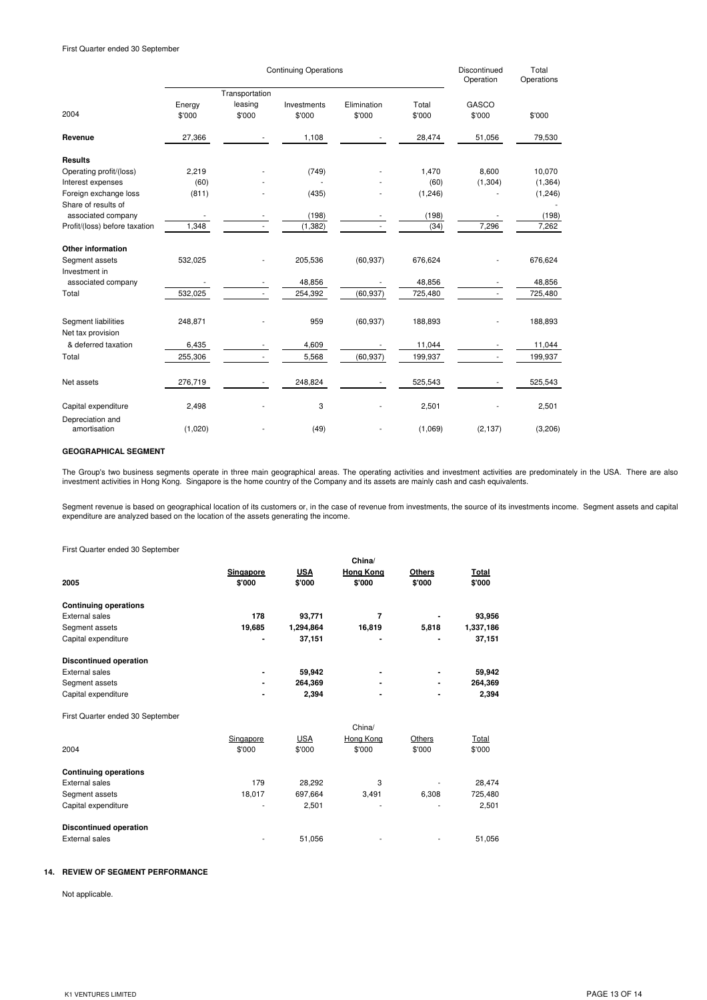|                                          |                  | Discontinued<br>Operation | Total<br>Operations   |                       |                 |                 |          |
|------------------------------------------|------------------|---------------------------|-----------------------|-----------------------|-----------------|-----------------|----------|
|                                          |                  | Transportation            |                       |                       |                 |                 |          |
| 2004                                     | Energy<br>\$'000 | leasing<br>\$'000         | Investments<br>\$'000 | Elimination<br>\$'000 | Total<br>\$'000 | GASCO<br>\$'000 | \$'000   |
| Revenue                                  | 27,366           |                           | 1,108                 |                       | 28,474          | 51,056          | 79,530   |
| <b>Results</b>                           |                  |                           |                       |                       |                 |                 |          |
| Operating profit/(loss)                  | 2,219            |                           | (749)                 |                       | 1,470           | 8,600           | 10,070   |
| Interest expenses                        | (60)             |                           |                       |                       | (60)            | (1, 304)        | (1, 364) |
| Foreign exchange loss                    | (811)            |                           | (435)                 |                       | (1, 246)        |                 | (1,246)  |
| Share of results of                      |                  |                           |                       |                       |                 |                 |          |
| associated company                       |                  |                           | (198)                 |                       | (198)           |                 | (198)    |
| Profit/(loss) before taxation            | 1,348            |                           | (1, 382)              |                       | (34)            | 7,296           | 7,262    |
| Other information                        |                  |                           |                       |                       |                 |                 |          |
| Segment assets                           | 532,025          |                           | 205,536               | (60, 937)             | 676,624         |                 | 676,624  |
| Investment in                            |                  |                           |                       |                       |                 |                 |          |
| associated company                       |                  |                           | 48,856                |                       | 48,856          |                 | 48.856   |
| Total                                    | 532,025          |                           | 254,392               | (60, 937)             | 725,480         |                 | 725,480  |
| Segment liabilities<br>Net tax provision | 248,871          |                           | 959                   | (60, 937)             | 188,893         |                 | 188,893  |
| & deferred taxation                      | 6,435            |                           | 4,609                 |                       | 11,044          |                 | 11,044   |
| Total                                    | 255,306          |                           | 5,568                 | (60, 937)             | 199,937         |                 | 199,937  |
| Net assets                               | 276,719          |                           | 248,824               |                       | 525,543         |                 | 525,543  |
| Capital expenditure                      | 2,498            |                           | 3                     |                       | 2,501           |                 | 2,501    |
| Depreciation and<br>amortisation         | (1,020)          |                           | (49)                  |                       | (1,069)         | (2, 137)        | (3,206)  |

## **GEOGRAPHICAL SEGMENT**

The Group's two business segments operate in three main geographical areas. The operating activities and investment activities are predominately in the USA. There are also<br>investment activities in Hong Kong. Singapore is t

Segment revenue is based on geographical location of its customers or, in the case of revenue from investments, the source of its investments income. Segment assets and capital expenditure are analyzed based on the location of the assets generating the income.

First Quarter ended 30 September

| <b>I</b> Hot waartor ondod oo ooptombor |           |            |                  |               |              |
|-----------------------------------------|-----------|------------|------------------|---------------|--------------|
|                                         |           |            | China/           |               |              |
|                                         | Singapore | <b>USA</b> | <b>Hong Kong</b> | <b>Others</b> | Total        |
| 2005                                    | \$'000    | \$'000     | \$'000           | \$'000        | \$'000       |
| <b>Continuing operations</b>            |           |            |                  |               |              |
| <b>External sales</b>                   | 178       | 93,771     | 7                |               | 93,956       |
| Segment assets                          | 19,685    | 1,294,864  | 16,819           | 5,818         | 1,337,186    |
| Capital expenditure                     |           | 37,151     |                  |               | 37,151       |
| <b>Discontinued operation</b>           |           |            |                  |               |              |
| External sales                          |           | 59,942     |                  |               | 59,942       |
| Segment assets                          |           | 264,369    |                  |               | 264,369      |
| Capital expenditure                     |           | 2,394      |                  |               | 2,394        |
| First Quarter ended 30 September        |           |            |                  |               |              |
|                                         |           |            | China/           |               |              |
|                                         | Singapore | <b>USA</b> | Hong Kong        | Others        | <b>Total</b> |
| 2004                                    | \$'000    | \$'000     | \$'000           | \$'000        | \$'000       |
| <b>Continuing operations</b>            |           |            |                  |               |              |
| <b>External sales</b>                   | 179       | 28,292     | 3                |               | 28,474       |
| Segment assets                          | 18,017    | 697,664    | 3,491            | 6,308         | 725,480      |
| Capital expenditure                     |           | 2,501      |                  |               | 2,501        |
| <b>Discontinued operation</b>           |           |            |                  |               |              |

External sales 51,056 - 51,056 - 51,056 - 51,056 - 51,056 - 51,056

### **14. REVIEW OF SEGMENT PERFORMANCE**

Not applicable.